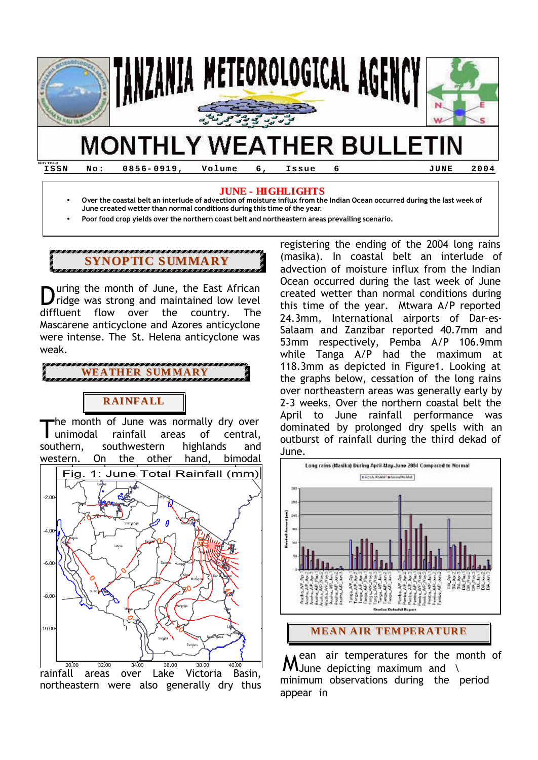

**ISSN No: 0856- 0919, Volume 6, Issue 6 JUNE 2004**

#### **JUNE - HIGHLIGHTS**

• **Over the coastal belt an interlude of advection of moisture influx from the Indian Ocean occurred during the last week of June created wetter than normal conditions during this time of the year.**

• **Poor food crop yields over the northern coast belt and northeastern areas prevailing scenario.**

# **SYNOPTIC SUMMARY**

uring the month of June, the East African **D**uring the month of June, the East African<br>
ridge was strong and maintained low level diffluent flow over the country. The Mascarene anticyclone and Azores anticyclone were intense. The St. Helena anticyclone was weak.

**WEATHER SUMMARY**

## **RAINFALL**

he month of June was normally dry over unimodal rainfall areas of central, southern, southwestern highlands and western. On the other hand, bimodal T



rainfall areas over Lake Victoria Basin, northeastern were also generally dry thus

registering the ending of the 2004 long rains (masika). In coastal belt an interlude of advection of moisture influx from the Indian Ocean occurred during the last week of June created wetter than normal conditions during this time of the year. Mtwara A/P reported 24.3mm, International airports of Dar-es-Salaam and Zanzibar reported 40.7mm and 53mm respectively, Pemba A/P 106.9mm while Tanga A/P had the maximum at 118.3mm as depicted in Figure1. Looking at the graphs below, cessation of the long rains over northeastern areas was generally early by 2-3 weeks. Over the northern coastal belt the April to June rainfall performance was dominated by prolonged dry spells with an outburst of rainfall during the third dekad of June.



ean air temperatures for the month of  $M$ ean air temperatures for the m<br> $M$ June depicting maximum and \ minimum observations during the period appear in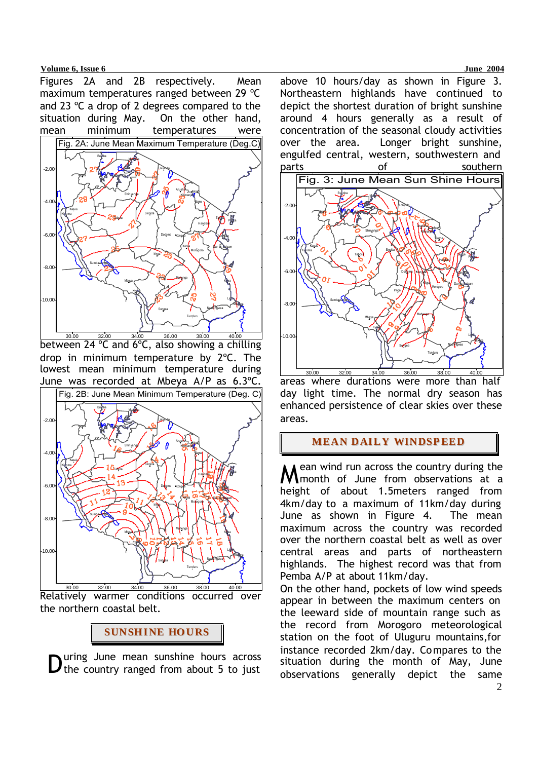**Volume 6, Issue 6 June 2004** 

Figures 2A and 2B respectively. Mean maximum temperatures ranged between 29 ºC and 23 ºC a drop of 2 degrees compared to the situation during May. On the other hand, mean minimum temperatures were



between 24 ºC and 6ºC, also showing a chilling drop in minimum temperature by 2ºC. The lowest mean minimum temperature during June was recorded at Mbeya A/P as 6.3ºC.



Relatively warmer conditions occurred over the northern coastal belt.



uring June mean sunshine hours across

above 10 hours/day as shown in Figure 3. Northeastern highlands have continued to depict the shortest duration of bright sunshine around 4 hours generally as a result of concentration of the seasonal cloudy activities over the area. Longer bright sunshine, engulfed central, western, southwestern and parts of southern



areas where durations were more than half day light time. The normal dry season has enhanced persistence of clear skies over these areas.

## **MEAN DAILY WINDSPEED**

ean wind run across the country during the **M**ean wind run across the country during the<br>**M** month of June from observations at a height of about 1.5meters ranged from 4km/day to a maximum of 11km/day during June as shown in Figure 4. The mean maximum across the country was recorded over the northern coastal belt as well as over central areas and parts of northeastern highlands. The highest record was that from Pemba A/P at about 11km/day.

During June mean sunshine hours across<br>
situation during the month of May, June<br>
observations generally depict the same On the other hand, pockets of low wind speeds appear in between the maximum centers on the leeward side of mountain range such as the record from Morogoro meteorological station on the foot of Uluguru mountains,for instance recorded 2km/day. Compares to the situation during the month of May, June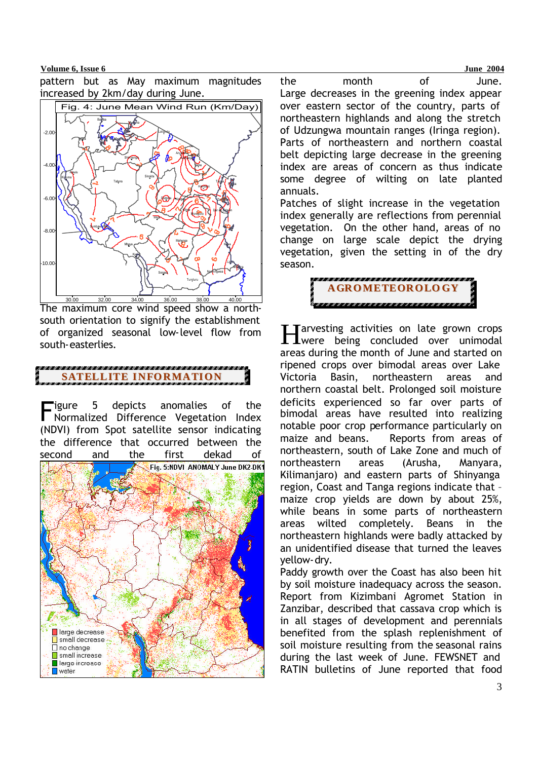#### **Volume 6, Issue 6 June 2004**

pattern but as May maximum magnitudes increased by 2km/day during June.



The maximum core wind speed show a northsouth orientation to signify the establishment of organized seasonal low-level flow from south-easterlies.

## **SATELLITE INFORMATION**

igure 5 depicts anomalies of the Figure 5 depicts anomalies of the<br>Normalized Difference Vegetation Index (NDVI) from Spot satellite sensor indicating the difference that occurred between the second and the first dekad of



the month of June. Large decreases in the greening index appear over eastern sector of the country, parts of northeastern highlands and along the stretch of Udzungwa mountain ranges (Iringa region). Parts of northeastern and northern coastal belt depicting large decrease in the greening index are areas of concern as thus indicate some degree of wilting on late planted annuals.

Patches of slight increase in the vegetation index generally are reflections from perennial vegetation. On the other hand, areas of no change on large scale depict the drying vegetation, given the setting in of the dry season.



**Tarvesting activities on late grown crops** Harvesting activities on late grown crops<br>Here being concluded over unimodal areas during the month of June and started on ripened crops over bimodal areas over Lake Victoria Basin, northeastern areas and northern coastal belt. Prolonged soil moisture deficits experienced so far over parts of bimodal areas have resulted into realizing notable poor crop performance particularly on maize and beans. Reports from areas of northeastern, south of Lake Zone and much of northeastern areas (Arusha, Manyara, Kilimanjaro) and eastern parts of Shinyanga region, Coast and Tanga regions indicate that – maize crop yields are down by about 25%, while beans in some parts of northeastern areas wilted completely. Beans in the northeastern highlands were badly attacked by an unidentified disease that turned the leaves yellow-dry.

Paddy growth over the Coast has also been hit by soil moisture inadequacy across the season. Report from Kizimbani Agromet Station in Zanzibar, described that cassava crop which is in all stages of development and perennials benefited from the splash replenishment of soil moisture resulting from the seasonal rains during the last week of June. FEWSNET and RATIN bulletins of June reported that food